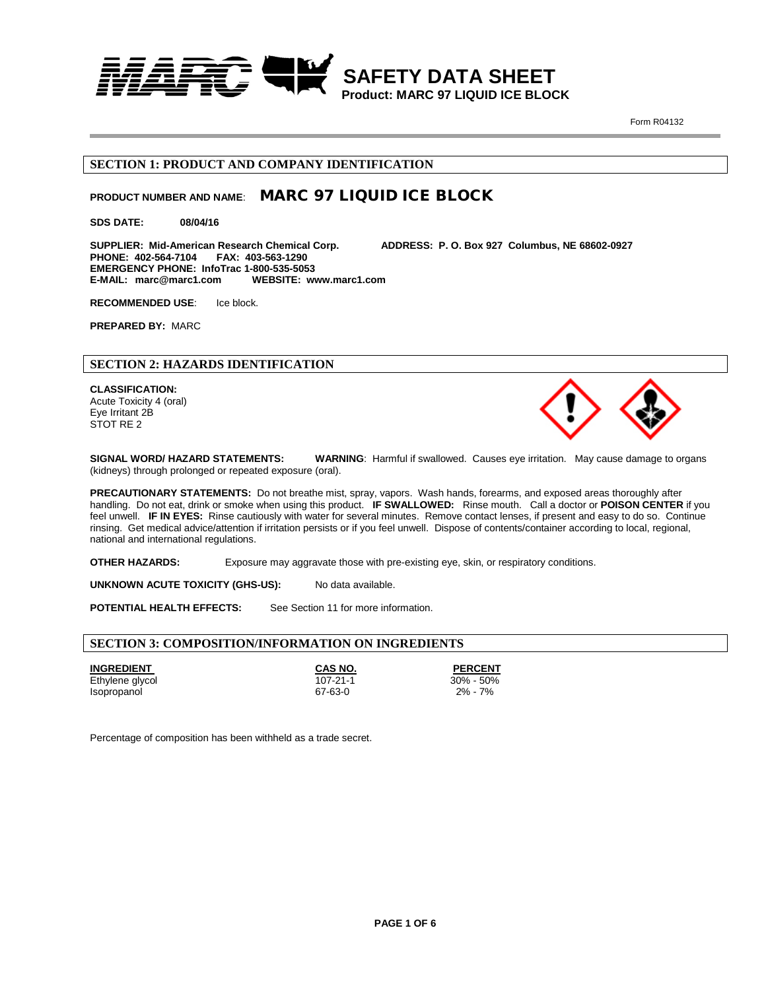

 **SAFETY DATA SHEET Product: MARC 97 LIQUID ICE BLOCK**

Form R04132

### **SECTION 1: PRODUCT AND COMPANY IDENTIFICATION**

# **PRODUCT NUMBER AND NAME**: MARC 97 LIQUID ICE BLOCK

**SDS DATE: 08/04/16**

**SUPPLIER: Mid-American Research Chemical Corp. ADDRESS: P. O. Box 927 Columbus, NE 68602-0927 PHONE: 402-564-7104 FAX: 403-563-1290 EMERGENCY PHONE: InfoTrac 1-800-535-5053 E-MAIL: marc@marc1.com** 

**RECOMMENDED USE**: Ice block.

**PREPARED BY:** MARC

# **SECTION 2: HAZARDS IDENTIFICATION**

**CLASSIFICATION:**  Acute Toxicity 4 (oral) Eye Irritant 2B STOT RE 2



**SIGNAL WORD/ HAZARD STATEMENTS: WARNING**: Harmful if swallowed. Causes eye irritation. May cause damage to organs (kidneys) through prolonged or repeated exposure (oral).

**PRECAUTIONARY STATEMENTS:** Do not breathe mist, spray, vapors. Wash hands, forearms, and exposed areas thoroughly after handling. Do not eat, drink or smoke when using this product. **IF SWALLOWED:** Rinse mouth.Call a doctor or **POISON CENTER** if you feel unwell. **IF IN EYES:** Rinse cautiously with water for several minutes. Remove contact lenses, if present and easy to do so. Continue rinsing. Get medical advice/attention if irritation persists or if you feel unwell. Dispose of contents/container according to local, regional, national and international regulations.

**OTHER HAZARDS:** Exposure may aggravate those with pre-existing eye, skin, or respiratory conditions.

**UNKNOWN ACUTE TOXICITY (GHS-US):** No data available.

**POTENTIAL HEALTH EFFECTS:** See Section 11 for more information.

### **SECTION 3: COMPOSITION/INFORMATION ON INGREDIENTS**

Isopropanol

**INGREDIENT CAS NO. PERCENT**  Ethylene glycol 107-21-1 30% - 50%

Percentage of composition has been withheld as a trade secret.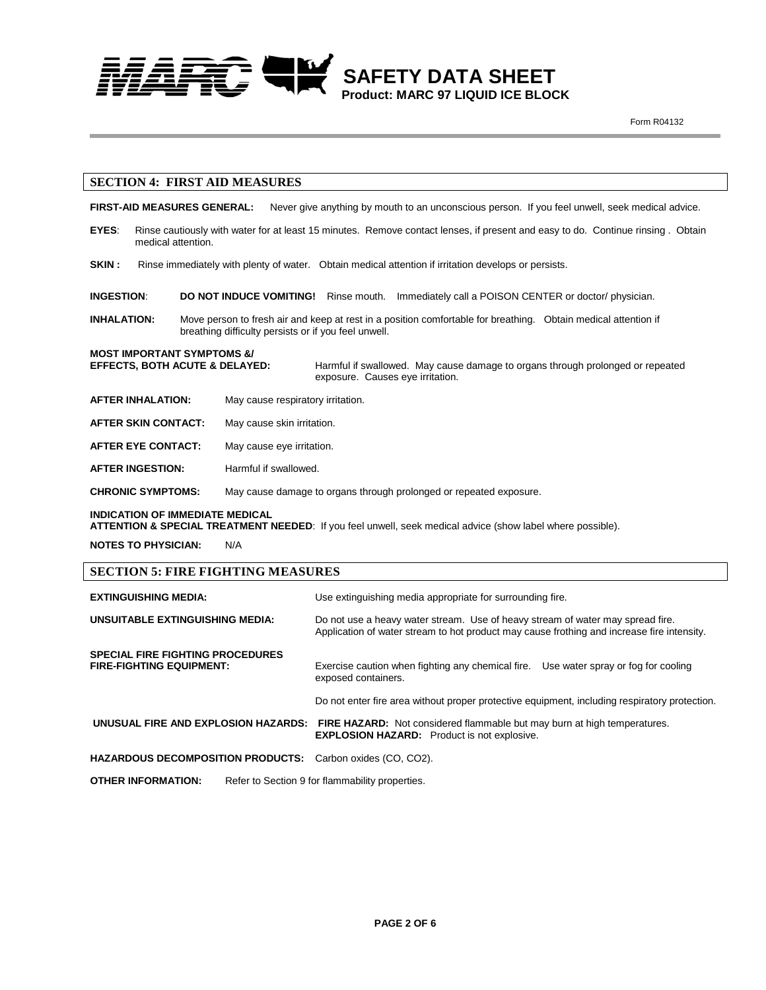

### **SECTION 4: FIRST AID MEASURES**

**FIRST-AID MEASURES GENERAL:** Never give anything by mouth to an unconscious person. If you feel unwell, seek medical advice.

- **EYES**: Rinse cautiously with water for at least 15 minutes. Remove contact lenses, if present and easy to do. Continue rinsing . Obtain medical attention.
- SKIN: Rinse immediately with plenty of water. Obtain medical attention if irritation develops or persists.
- **INGESTION**: **DO NOT INDUCE VOMITING!** Rinse mouth. Immediately call a POISON CENTER or doctor/ physician.
- **INHALATION:** Move person to fresh air and keep at rest in a position comfortable for breathing. Obtain medical attention if breathing difficulty persists or if you feel unwell.

### **MOST IMPORTANT SYMPTOMS &/**

**EFFECTS, BOTH ACUTE & DELAYED:** Harmful if swallowed. May cause damage to organs through prolonged or repeated exposure. Causes eye irritation.

- **AFTER INHALATION:** May cause respiratory irritation.
- **AFTER SKIN CONTACT:** May cause skin irritation.
- **AFTER EYE CONTACT:** May cause eye irritation.
- **AFTER INGESTION:** Harmful if swallowed.

**CHRONIC SYMPTOMS:** May cause damage to organs through prolonged or repeated exposure.

#### **INDICATION OF IMMEDIATE MEDICAL**

**ATTENTION & SPECIAL TREATMENT NEEDED**: If you feel unwell, seek medical advice (show label where possible).

**NOTES TO PHYSICIAN:** N/A

### **SECTION 5: FIRE FIGHTING MEASURES**

| <b>EXTINGUISHING MEDIA:</b>                                                | Use extinguishing media appropriate for surrounding fire.                                                                                                                    |  |
|----------------------------------------------------------------------------|------------------------------------------------------------------------------------------------------------------------------------------------------------------------------|--|
| UNSUITABLE EXTINGUISHING MEDIA:                                            | Do not use a heavy water stream. Use of heavy stream of water may spread fire.<br>Application of water stream to hot product may cause frothing and increase fire intensity. |  |
| <b>SPECIAL FIRE FIGHTING PROCEDURES</b><br><b>FIRE-FIGHTING EQUIPMENT:</b> | Exercise caution when fighting any chemical fire. Use water spray or fog for cooling<br>exposed containers.                                                                  |  |
|                                                                            | Do not enter fire area without proper protective equipment, including respiratory protection.                                                                                |  |
|                                                                            | <b>UNUSUAL FIRE AND EXPLOSION HAZARDS: FIRE HAZARD:</b> Not considered flammable but may burn at high temperatures.<br><b>EXPLOSION HAZARD:</b> Product is not explosive.    |  |
| <b>HAZARDOUS DECOMPOSITION PRODUCTS:</b> Carbon oxides (CO, CO2).          |                                                                                                                                                                              |  |
| <b>OTHER INFORMATION:</b>                                                  | Refer to Section 9 for flammability properties.                                                                                                                              |  |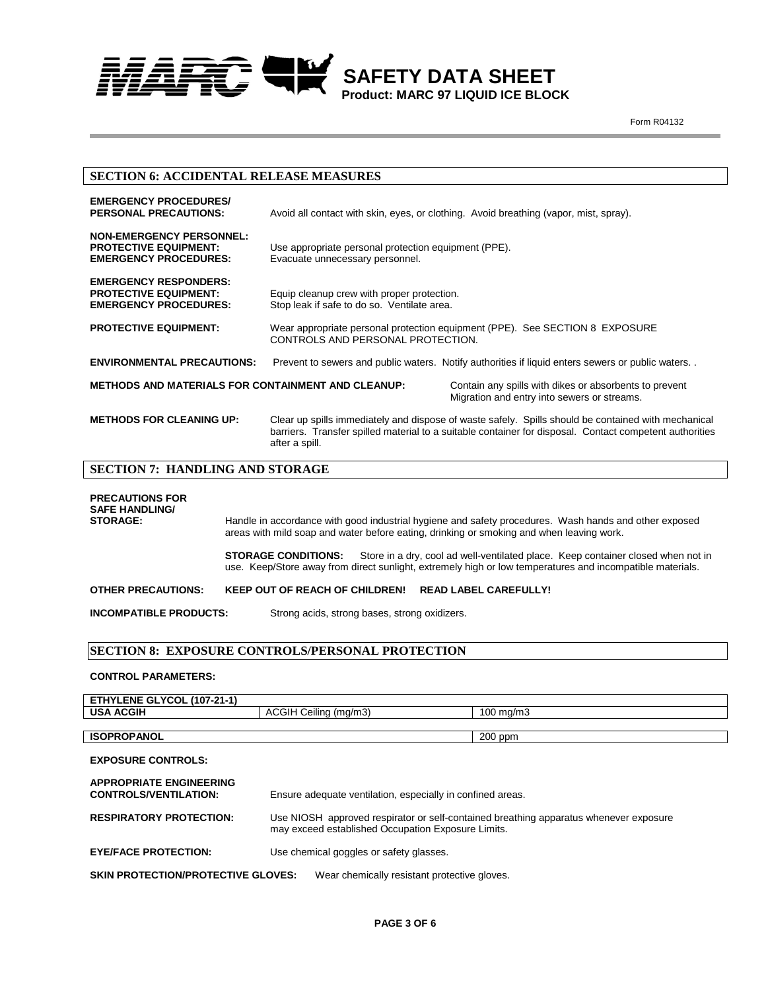

## **SECTION 6: ACCIDENTAL RELEASE MEASURES**

| <b>EMERGENCY PROCEDURES/</b><br><b>PERSONAL PRECAUTIONS:</b>                                    | Avoid all contact with skin, eyes, or clothing. Avoid breathing (vapor, mist, spray).                                                                                                                                            |  |
|-------------------------------------------------------------------------------------------------|----------------------------------------------------------------------------------------------------------------------------------------------------------------------------------------------------------------------------------|--|
| <b>NON-EMERGENCY PERSONNEL:</b><br><b>PROTECTIVE EQUIPMENT:</b><br><b>EMERGENCY PROCEDURES:</b> | Use appropriate personal protection equipment (PPE).<br>Evacuate unnecessary personnel.                                                                                                                                          |  |
| <b>EMERGENCY RESPONDERS:</b><br><b>PROTECTIVE EQUIPMENT:</b><br><b>EMERGENCY PROCEDURES:</b>    | Equip cleanup crew with proper protection.<br>Stop leak if safe to do so. Ventilate area.                                                                                                                                        |  |
| <b>PROTECTIVE EQUIPMENT:</b>                                                                    | Wear appropriate personal protection equipment (PPE). See SECTION 8 EXPOSURE<br>CONTROLS AND PERSONAL PROTECTION.                                                                                                                |  |
| <b>ENVIRONMENTAL PRECAUTIONS:</b>                                                               | Prevent to sewers and public waters. Notify authorities if liquid enters sewers or public waters                                                                                                                                 |  |
| <b>METHODS AND MATERIALS FOR CONTAINMENT AND CLEANUP:</b>                                       | Contain any spills with dikes or absorbents to prevent<br>Migration and entry into sewers or streams.                                                                                                                            |  |
| <b>METHODS FOR CLEANING UP:</b>                                                                 | Clear up spills immediately and dispose of waste safely. Spills should be contained with mechanical<br>barriers. Transfer spilled material to a suitable container for disposal. Contact competent authorities<br>after a spill. |  |
| <b>SECTION 7: HANDLING AND STORAGE</b>                                                          |                                                                                                                                                                                                                                  |  |
| <b>PRECAUTIONS FOR</b><br><b>SAFE HANDLING/</b><br>CTAD ACE.                                    | Unnelle in accordance with good inductively lugican and octaty procedures. Weak honde and other evapored                                                                                                                         |  |

**STORAGE:** Handle in accordance with good industrial hygiene and safety procedures. Wash hands and other exposed areas with mild soap and water before eating, drinking or smoking and when leaving work. **STORAGE CONDITIONS:** Store in a dry, cool ad well-ventilated place. Keep container closed when not in use. Keep/Store away from direct sunlight, extremely high or low temperatures and incompatible materials. **OTHER PRECAUTIONS:** KEEP OUT OF REACH OF CHILDREN! READ LABEL CAREFULLY! **INCOMPATIBLE PRODUCTS:** Strong acids, strong bases, strong oxidizers.

 **SECTION 8: EXPOSURE CONTROLS/PERSONAL PROTECTION**

#### **CONTROL PARAMETERS:**

| <b>ETHYLENE GLYCOL (107-21-1)</b> |                               |                |
|-----------------------------------|-------------------------------|----------------|
| <b>USA ACGIH</b>                  | Ceilina<br>ACGIH<br>ı (ma/m3) | 100<br>ገ mɑ/mኌ |
|                                   |                               |                |
| <b>ISOPROPANOL</b>                |                               | $200$ ppm      |

| <b>EXPOSURE CONTROLS:</b>                                      |                                                                                                                                             |  |
|----------------------------------------------------------------|---------------------------------------------------------------------------------------------------------------------------------------------|--|
| <b>APPROPRIATE ENGINEERING</b><br><b>CONTROLS/VENTILATION:</b> | Ensure adequate ventilation, especially in confined areas.                                                                                  |  |
| <b>RESPIRATORY PROTECTION:</b>                                 | Use NIOSH approved respirator or self-contained breathing apparatus whenever exposure<br>may exceed established Occupation Exposure Limits. |  |
| <b>EYE/FACE PROTECTION:</b>                                    | Use chemical goggles or safety glasses.                                                                                                     |  |
| <b>SKIN PROTECTION/PROTECTIVE GLOVES:</b>                      | Wear chemically resistant protective gloves.                                                                                                |  |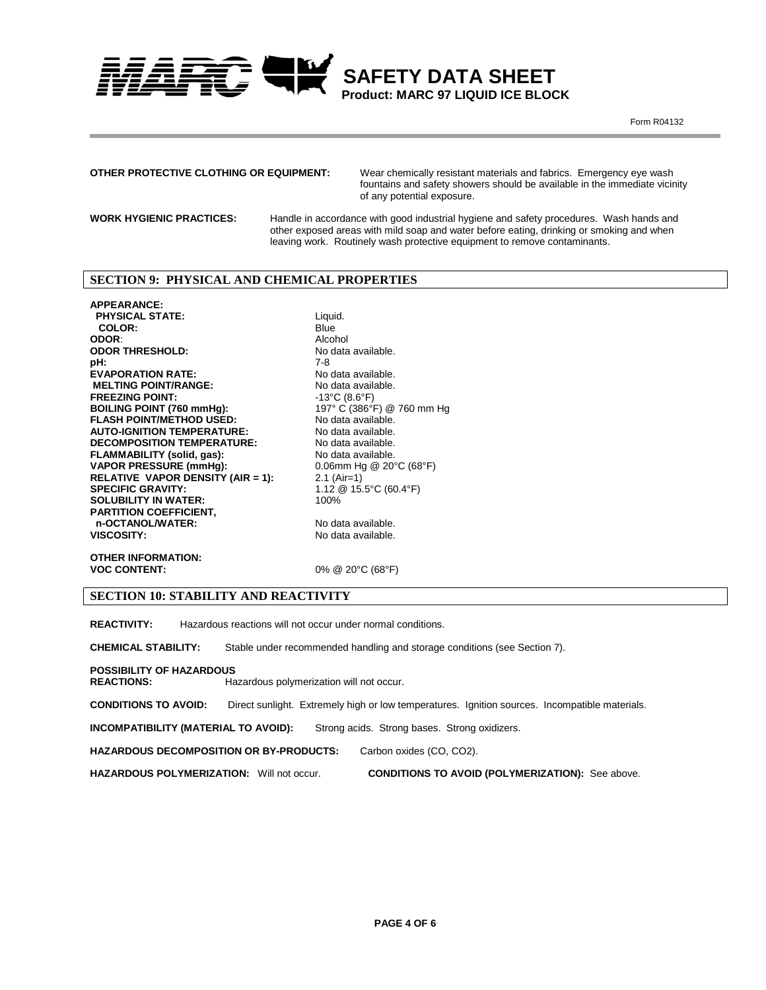

 **SAFETY DATA SHEET Product: MARC 97 LIQUID ICE BLOCK**

Form R04132

## **OTHER PROTECTIVE CLOTHING OR EQUIPMENT:**

Wear chemically resistant materials and fabrics. Emergency eye wash fountains and safety showers should be available in the immediate vicinity of any potential exposure.

**WORK HYGIENIC PRACTICES:** 

Handle in accordance with good industrial hygiene and safety procedures. Wash hands and other exposed areas with mild soap and water before eating, drinking or smoking and when leaving work. Routinely wash protective equipment to remove contaminants.

### **SECTION 9: PHYSICAL AND CHEMICAL PROPERTIES**

**APPEARANCE: PHYSICAL STATE:** Liquid.<br> **COLOR:** Blue **COLOR:** Blue<br> **COLOR:** Blue<br> **COLOR:** Alcohol **ODOR:** Alcohol **ODOR THRESHOLD:** No data available. **pH:** 7-8 **EVAPORATION RATE:** No data available.<br>
MELTING POINT/RANGE: No data available. **MELTING POINT/RANGE:**<br> **FREEZING POINT:**<br>  $-13^{\circ}C (8.6^{\circ}F)$ **FREEZING POINT:**  $-13^{\circ}C$  (8.6°F)<br> **BOILING POINT (760 mmHg):**  $197^{\circ}C$  (386°F) @ 760 mm Hg **BOILING POINT (760 mmHg):** 197° C (386°F) @ 760 mmHg):<br> **PLASH POINT/METHOD USED:** No data available. **FLASH POINT/METHOD USED:** No data available.<br> **AUTO-IGNITION TEMPERATURE:** No data available. **AUTO-IGNITION TEMPERATURE:** No data available.<br>**DECOMPOSITION TEMPERATURE:** No data available. **DECOMPOSITION TEMPERATURE:** No data available.<br> **FLAMMABILITY (solid, gas):** No data available. **FLAMMABILITY (solid, gas):** <br> **VAPOR PRESSURE (mmHg):** 0.06mm Hg @ 20°C (68°F) **VAPOR PRESSURE (mmHg):** 0.06mm Hg<br>**RELATIVE VAPOR DENSITY (AIR = 1):** 2.1 (Air=1) **RELATIVE VAPOR DENSITY (AIR = 1):**<br>SPECIFIC GRAVITY: **SOLUBILITY IN WATER: PARTITION COEFFICIENT, n-OCTANOL/WATER:** No data available.<br> **No data available.**<br>
No data available.

1.12 @ 15.5°C (60.4°F)<br>100% No data available.

**OTHER INFORMATION:**

0% @ 20°C (68°F)

# **SECTION 10: STABILITY AND REACTIVITY**

**REACTIVITY:** Hazardous reactions will not occur under normal conditions.

**CHEMICAL STABILITY:** Stable under recommended handling and storage conditions (see Section 7).

**POSSIBILITY OF HAZARDOUS**

**REACTIONS:** Hazardous polymerization will not occur.

**CONDITIONS TO AVOID:** Direct sunlight. Extremely high or low temperatures. Ignition sources. Incompatible materials.

**INCOMPATIBILITY (MATERIAL TO AVOID): Strong acids. Strong bases. Strong oxidizers.** 

**HAZARDOUS DECOMPOSITION OR BY-PRODUCTS:** Carbon oxides (CO, CO2).

**HAZARDOUS POLYMERIZATION:** Will not occur. **CONDITIONS TO AVOID (POLYMERIZATION):** See above.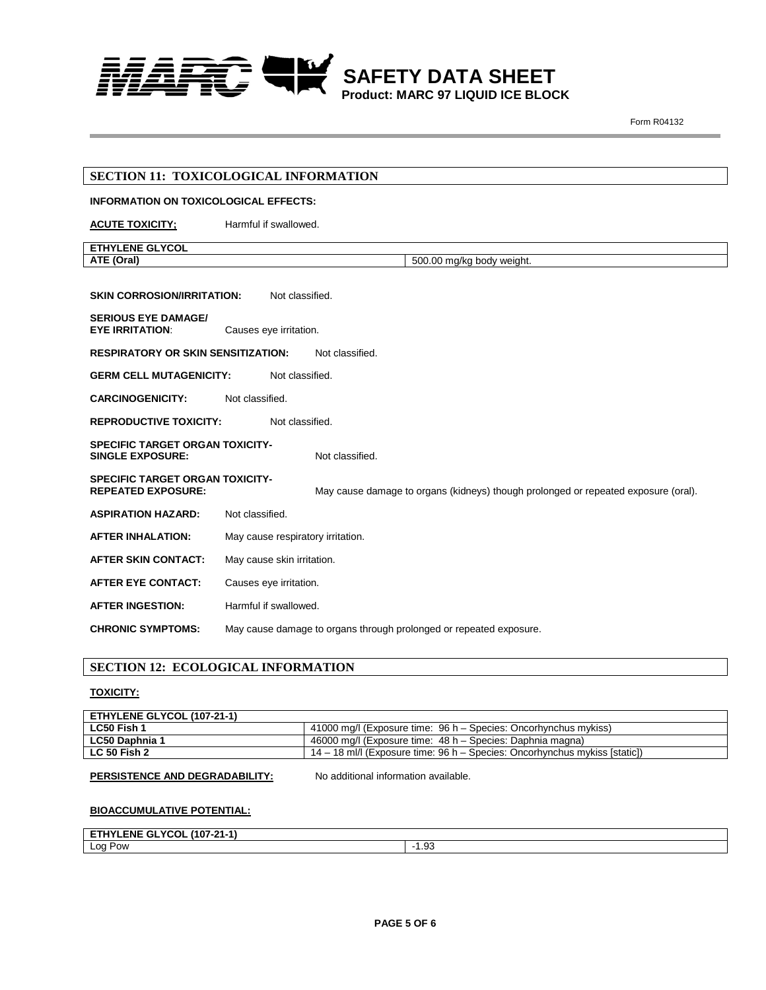

|                                                                     | SECTION 11: TOXICOLOGICAL INFORMATION                                              |
|---------------------------------------------------------------------|------------------------------------------------------------------------------------|
| <b>INFORMATION ON TOXICOLOGICAL EFFECTS:</b>                        |                                                                                    |
| <b>ACUTE TOXICITY;</b>                                              | Harmful if swallowed.                                                              |
| <b>ETHYLENE GLYCOL</b>                                              |                                                                                    |
| ATE (Oral)                                                          | 500.00 mg/kg body weight.                                                          |
|                                                                     |                                                                                    |
| <b>SKIN CORROSION/IRRITATION:</b>                                   | Not classified.                                                                    |
| <b>SERIOUS EYE DAMAGE/</b><br><b>EYE IRRITATION:</b>                | Causes eye irritation.                                                             |
| <b>RESPIRATORY OR SKIN SENSITIZATION:</b>                           | Not classified.                                                                    |
| <b>GERM CELL MUTAGENICITY:</b>                                      | Not classified.                                                                    |
| <b>CARCINOGENICITY:</b>                                             | Not classified.                                                                    |
| <b>REPRODUCTIVE TOXICITY:</b>                                       | Not classified.                                                                    |
| <b>SPECIFIC TARGET ORGAN TOXICITY-</b><br><b>SINGLE EXPOSURE:</b>   | Not classified.                                                                    |
| <b>SPECIFIC TARGET ORGAN TOXICITY-</b><br><b>REPEATED EXPOSURE:</b> | May cause damage to organs (kidneys) though prolonged or repeated exposure (oral). |
| <b>ASPIRATION HAZARD:</b>                                           | Not classified.                                                                    |
| <b>AFTER INHALATION:</b>                                            | May cause respiratory irritation.                                                  |
| <b>AFTER SKIN CONTACT:</b>                                          | May cause skin irritation.                                                         |
| <b>AFTER EYE CONTACT:</b>                                           | Causes eye irritation.                                                             |
| <b>AFTER INGESTION:</b>                                             | Harmful if swallowed.                                                              |
| <b>CHRONIC SYMPTOMS:</b>                                            | May cause damage to organs through prolonged or repeated exposure.                 |

## **SECTION 12: ECOLOGICAL INFORMATION**

## **TOXICITY:**

| <b>ETHYLENE GLYCOL (107-21-1)</b> |                                                                              |
|-----------------------------------|------------------------------------------------------------------------------|
| LC50 Fish 1                       | 41000 mg/l (Exposure time: 96 h – Species: Oncorhynchus mykiss)              |
| <b>LC50 Daphnia 1</b>             | 46000 mg/l (Exposure time: 48 h – Species: Daphnia magna)                    |
| <b>LC 50 Fish 2</b>               | $14 - 18$ ml/l (Exposure time: 96 h – Species: Oncorhynchus mykiss [static]) |

## **PERSISTENCE AND DEGRADABILITY:** No additional information available.

## **BIOACCUMULATIVE POTENTIAL:**

| <b>ETHYLENE GLYCOL</b><br>. (107-21-1) |                  |
|----------------------------------------|------------------|
| Log Pow                                | $\sim$<br>$\sim$ |